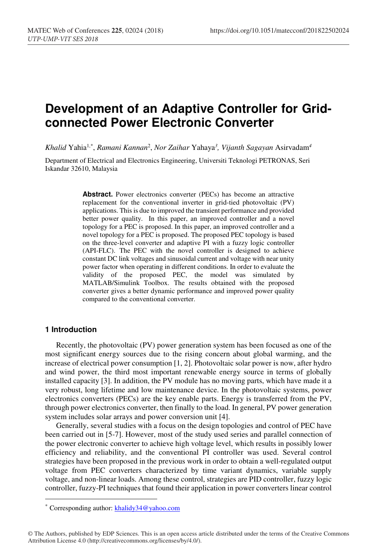# **Development of an Adaptive Controller for Gridconnected Power Electronic Converter**

*Khalid* Yahia1,\*, *Ramani Kannan*<sup>2</sup> , *Nor Zaihar* Yahaya*<sup>3</sup> , Vijanth Sagayan* Asirvadam*<sup>4</sup>*

Department of Electrical and Electronics Engineering, Universiti Teknologi PETRONAS, Seri Iskandar 32610, Malaysia

> **Abstract.** Power electronics converter (PECs) has become an attractive replacement for the conventional inverter in grid-tied photovoltaic (PV) applications. This is due to improved the transient performance and provided better power quality. In this paper, an improved controller and a novel topology for a PEC is proposed. In this paper, an improved controller and a novel topology for a PEC is proposed. The proposed PEC topology is based on the three-level converter and adaptive PI with a fuzzy logic controller (API-FLC). The PEC with the novel controller is designed to achieve constant DC link voltages and sinusoidal current and voltage with near unity power factor when operating in different conditions. In order to evaluate the validity of the proposed PEC, the model was simulated by MATLAB/Simulink Toolbox. The results obtained with the proposed converter gives a better dynamic performance and improved power quality compared to the conventional converter.

#### **1 Introduction**

-

Recently, the photovoltaic (PV) power generation system has been focused as one of the most significant energy sources due to the rising concern about global warming, and the increase of electrical power consumption [1, 2]. Photovoltaic solar power is now, after hydro and wind power, the third most important renewable energy source in terms of globally installed capacity [3]. In addition, the PV module has no moving parts, which have made it a very robust, long lifetime and low maintenance device. In the photovoltaic systems, power electronics converters (PECs) are the key enable parts. Energy is transferred from the PV, through power electronics converter, then finally to the load. In general, PV power generation system includes solar arrays and power conversion unit [4].

Generally, several studies with a focus on the design topologies and control of PEC have been carried out in [5-7]. However, most of the study used series and parallel connection of the power electronic converter to achieve high voltage level, which results in possibly lower efficiency and reliability, and the conventional PI controller was used. Several control strategies have been proposed in the previous work in order to obtain a well-regulated output voltage from PEC converters characterized by time variant dynamics, variable supply voltage, and non-linear loads. Among these control, strategies are PID controller, fuzzy logic controller, fuzzy-PI techniques that found their application in power converters linear control

<sup>\*</sup> Corresponding author: khalidy34@yahoo.com

<sup>©</sup> The Authors, published by EDP Sciences. This is an open access article distributed under the terms of the Creative Commons Attribution License 4.0 (http://creativecommons.org/licenses/by/4.0/).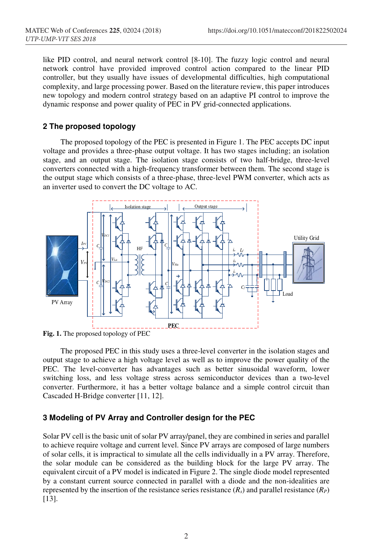like PID control, and neural network control [8-10]. The fuzzy logic control and neural network control have provided improved control action compared to the linear PID controller, but they usually have issues of developmental difficulties, high computational complexity, and large processing power. Based on the literature review, this paper introduces new topology and modern control strategy based on an adaptive PI control to improve the dynamic response and power quality of PEC in PV grid-connected applications.

### **2 The proposed topology**

The proposed topology of the PEC is presented in Figure 1. The PEC accepts DC input voltage and provides a three-phase output voltage. It has two stages including; an isolation stage, and an output stage. The isolation stage consists of two half-bridge, three-level converters connected with a high-frequency transformer between them. The second stage is the output stage which consists of a three-phase, three-level PWM converter, which acts as an inverter used to convert the DC voltage to AC.



**Fig. 1.** The proposed topology of PEC

The proposed PEC in this study uses a three-level converter in the isolation stages and output stage to achieve a high voltage level as well as to improve the power quality of the PEC. The level-converter has advantages such as better sinusoidal waveform, lower switching loss, and less voltage stress across semiconductor devices than a two-level converter. Furthermore, it has a better voltage balance and a simple control circuit than Cascaded H-Bridge converter [11, 12].

# **3 Modeling of PV Array and Controller design for the PEC**

Solar PV cell is the basic unit of solar PV array/panel, they are combined in series and parallel to achieve require voltage and current level. Since PV arrays are composed of large numbers of solar cells, it is impractical to simulate all the cells individually in a PV array. Therefore, the solar module can be considered as the building block for the large PV array. The equivalent circuit of a PV model is indicated in Figure 2. The single diode model represented by a constant current source connected in parallel with a diode and the non-idealities are represented by the insertion of the resistance series resistance  $(R<sub>s</sub>)$  and parallel resistance  $(R<sub>P</sub>)$ [13].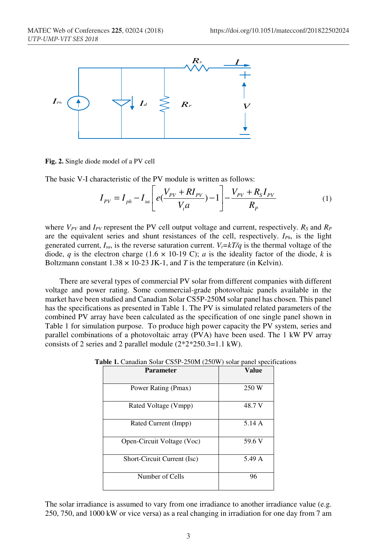

**Fig. 2.** Single diode model of a PV cell

The basic V-I characteristic of the PV module is written as follows:

$$
I_{PV} = I_{ph} - I_{sa} \left[ e \left( \frac{V_{PV} + RI_{PV}}{V_r a} \right) - 1 \right] - \frac{V_{PV} + R_s I_{PV}}{R_p}
$$
 (1)

where  $V_{PV}$  and  $I_{PV}$  represent the PV cell output voltage and current, respectively.  $R_S$  and  $R_P$ are the equivalent series and shunt resistances of the cell, respectively. *IPh*, is the light generated current,  $I_{sa}$ , is the reverse saturation current.  $V_t = kT/q$  is the thermal voltage of the diode, *q* is the electron charge (1.6  $\times$  10-19 C); *a* is the ideality factor of the diode, *k* is Boltzmann constant  $1.38 \times 10^{-23}$  JK-1, and *T* is the temperature (in Kelvin).

There are several types of commercial PV solar from different companies with different voltage and power rating. Some commercial-grade photovoltaic panels available in the market have been studied and Canadian Solar CS5P-250M solar panel has chosen. This panel has the specifications as presented in Table 1. The PV is simulated related parameters of the combined PV array have been calculated as the specification of one single panel shown in Table 1 for simulation purpose. To produce high power capacity the PV system, series and parallel combinations of a photovoltaic array (PVA) have been used. The 1 kW PV array consists of 2 series and 2 parallel module (2\*2\*250.3=1.1 kW).

| <b>Parameter</b>            | <b>Value</b> |
|-----------------------------|--------------|
| Power Rating (Pmax)         | 250 W        |
| Rated Voltage (Vmpp)        | 48.7 V       |
| Rated Current (Impp)        | 5.14 A       |
| Open-Circuit Voltage (Voc)  | 59.6 V       |
| Short-Circuit Current (Isc) | 5.49 A       |
| Number of Cells             | 96           |

| Table 1. Canadian Solar CS5P-250M (250W) solar panel specifications |  |  |
|---------------------------------------------------------------------|--|--|
|---------------------------------------------------------------------|--|--|

The solar irradiance is assumed to vary from one irradiance to another irradiance value (e.g. 250, 750, and 1000 kW or vice versa) as a real changing in irradiation for one day from 7 am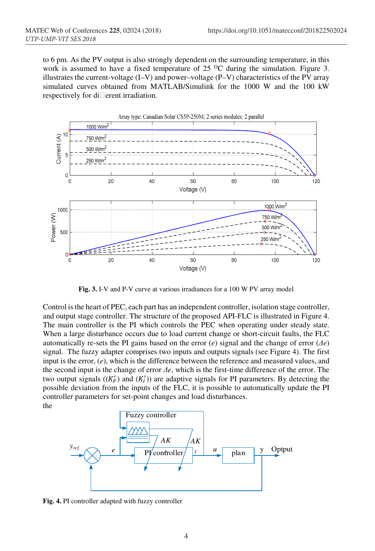to 6 pm. As the PV output is also strongly dependent on the surrounding temperature, in this work is assumed to have a fixed temperature of  $25\text{ °C}$  during the simulation. Figure 3. illustrates the current-voltage (I–V) and power–voltage (P–V) characteristics of the PV array simulated curves obtained from MATLAB/Simulink for the 1000 W and the 100 kW respectively for di $\square$ erent irradiation.



**Fig. 3.** I-V and P-V curve at various irradiances for a 100 W PV array model

Control is the heart of PEC, each part has an independent controller, isolation stage controller, and output stage controller. The structure of the proposed API-FLC is illustrated in Figure 4. The main controller is the PI which controls the PEC when operating under steady state. When a large disturbance occurs due to load current change or short-circuit faults, the FLC automatically re-sets the PI gains based on the error  $(e)$  signal and the change of error  $(Ae)$ signal. The fuzzy adapter comprises two inputs and outputs signals (see Figure 4). The first input is the error, (*e*), which is the difference between the reference and measured values, and the second input is the change of error *∆e*, which is the first-time difference of the error. The two output signals  $((K_p)$  and  $(K'_1)$ ) are adaptive signals for PI parameters. By detecting the possible deviation from the inputs of the FLC, it is possible to automatically update the PI controller parameters for set-point changes and load disturbances. the



**Fig. 4.** PI controller adapted with fuzzy controller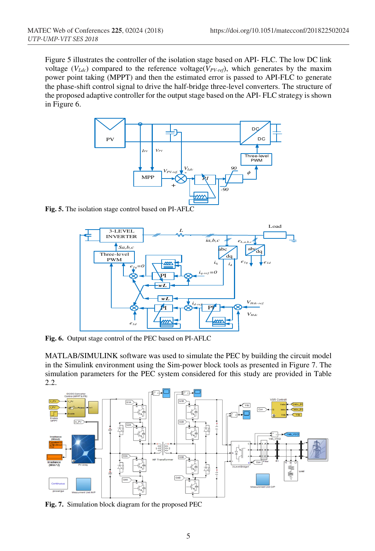Figure 5 illustrates the controller of the isolation stage based on API- FLC. The low DC link voltage  $(V_{Ldc})$  compared to the reference voltage( $V_{PV\text{-}ref}$ ), which generates by the maxim power point taking (MPPT) and then the estimated error is passed to API-FLC to generate the phase-shift control signal to drive the half-bridge three-level converters. The structure of the proposed adaptive controller for the output stage based on the API- FLC strategy is shown in Figure 6.



**Fig. 5.** The isolation stage control based on PI-AFLC



**Fig. 6.** Output stage control of the PEC based on PI-AFLC

MATLAB/SIMULINK software was used to simulate the PEC by building the circuit model in the Simulink environment using the Sim-power block tools as presented in Figure 7. The simulation parameters for the PEC system considered for this study are provided in Table 2.2.



**Fig. 7.** Simulation block diagram for the proposed PEC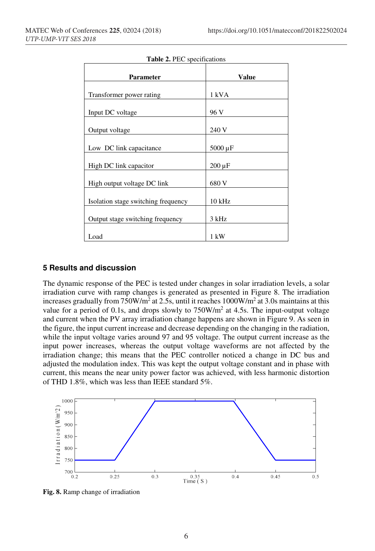| <b>Parameter</b>                    | Value       |
|-------------------------------------|-------------|
| Transformer power rating            | 1 kVA       |
| Input DC voltage                    | 96 V        |
| Output voltage                      | 240 V       |
| Low DC link capacitance             | 5000 µF     |
| High DC link capacitor              | $200 \mu F$ |
| High output voltage DC link         | 680 V       |
| Isolation stage switching frequency | $10$ kHz    |
| Output stage switching frequency    | 3 kHz       |
| Load                                | 1 kW        |

**Table 2.** PEC specifications

# **5 Results and discussion**

The dynamic response of the PEC is tested under changes in solar irradiation levels, a solar irradiation curve with ramp changes is generated as presented in Figure 8. The irradiation increases gradually from  $750W/m^2$  at 2.5s, until it reaches  $1000W/m^2$  at 3.0s maintains at this value for a period of 0.1s, and drops slowly to  $750W/m<sup>2</sup>$  at 4.5s. The input-output voltage and current when the PV array irradiation change happens are shown in Figure 9. As seen in the figure, the input current increase and decrease depending on the changing in the radiation, while the input voltage varies around 97 and 95 voltage. The output current increase as the input power increases, whereas the output voltage waveforms are not affected by the irradiation change; this means that the PEC controller noticed a change in DC bus and adjusted the modulation index. This was kept the output voltage constant and in phase with current, this means the near unity power factor was achieved, with less harmonic distortion of THD 1.8%, which was less than IEEE standard 5%.



**Fig. 8.** Ramp change of irradiation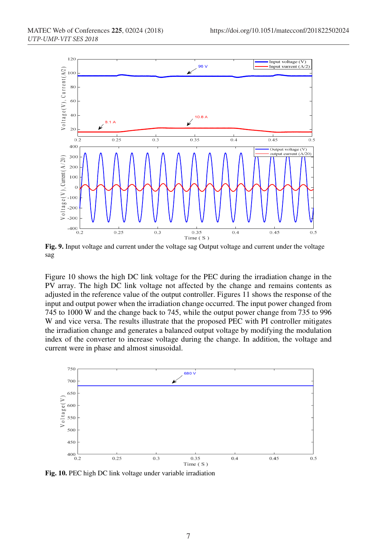

**Fig. 9.** Input voltage and current under the voltage sag Output voltage and current under the voltage sag

Figure 10 shows the high DC link voltage for the PEC during the irradiation change in the PV array. The high DC link voltage not affected by the change and remains contents as adjusted in the reference value of the output controller. Figures 11 shows the response of the input and output power when the irradiation change occurred. The input power changed from 745 to 1000 W and the change back to 745, while the output power change from 735 to 996 W and vice versa. The results illustrate that the proposed PEC with PI controller mitigates the irradiation change and generates a balanced output voltage by modifying the modulation index of the converter to increase voltage during the change. In addition, the voltage and current were in phase and almost sinusoidal.



**Fig. 10.** PEC high DC link voltage under variable irradiation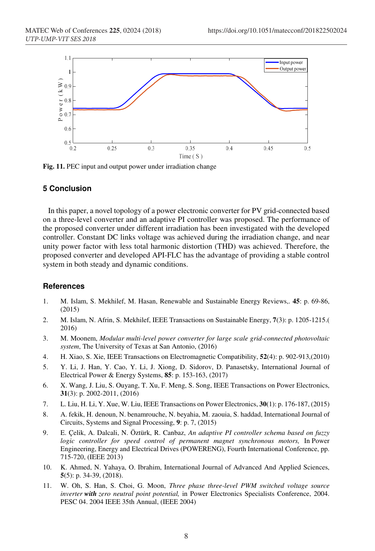

**Fig. 11.** PEC input and output power under irradiation change

# **5 Conclusion**

In this paper, a novel topology of a power electronic converter for PV grid-connected based on a three-level converter and an adaptive PI controller was proposed. The performance of the proposed converter under different irradiation has been investigated with the developed controller. Constant DC links voltage was achieved during the irradiation change, and near unity power factor with less total harmonic distortion (THD) was achieved. Therefore, the proposed converter and developed API-FLC has the advantage of providing a stable control system in both steady and dynamic conditions.

#### **References**

- 1. M. Islam, S. Mekhilef, M. Hasan, Renewable and Sustainable Energy Reviews,. **45**: p. 69-86, (2015)
- 2. M. Islam, N. Afrin, S. Mekhilef, IEEE Transactions on Sustainable Energy, **7**(3): p. 1205-1215.( 2016)
- 3. M. Moonem, *Modular multi-level power converter for large scale grid-connected photovoltaic system*, The University of Texas at San Antonio, (2016)
- 4. H. Xiao, S. Xie, IEEE Transactions on Electromagnetic Compatibility, **52**(4): p. 902-913,(2010)
- 5. Y. Li, J. Han, Y. Cao, Y. Li, J. Xiong, D. Sidorov, D. Panasetsky, International Journal of Electrical Power & Energy Systems, **85**: p. 153-163, (2017)
- 6. X. Wang, J. Liu, S. Ouyang, T. Xu, F. Meng, S. Song, IEEE Transactions on Power Electronics, **31**(3): p. 2002-2011, (2016)
- 7. L. Liu, H. Li, Y. Xue, W. Liu, IEEE Transactions on Power Electronics, **30**(1): p. 176-187, (2015)
- 8. A. fekik, H. denoun, N. benamrouche, N. beyahia, M. zaouia, S. haddad, International Journal of Circuits, Systems and Signal Processing, **9**: p. 7, (2015)
- 9. E. Çelik, A. Dalcali, N. Öztürk, R. Canbaz, *An adaptive PI controller schema based on fuzzy logic controller for speed control of permanent magnet synchronous motors,* In Power Engineering, Energy and Electrical Drives (POWERENG), Fourth International Conference, pp. 715-720, (IEEE 2013)
- 10. K. Ahmed, N. Yahaya, O. Ibrahim, International Journal of Advanced And Applied Sciences, **5**(5): p. 34-39, (2018).
- 11. W. Oh, S. Han, S. Choi, G. Moon, *Three phase three-level PWM switched voltage source inverter with zero neutral point potential,* in Power Electronics Specialists Conference, 2004. PESC 04. 2004 IEEE 35th Annual, (IEEE 2004)